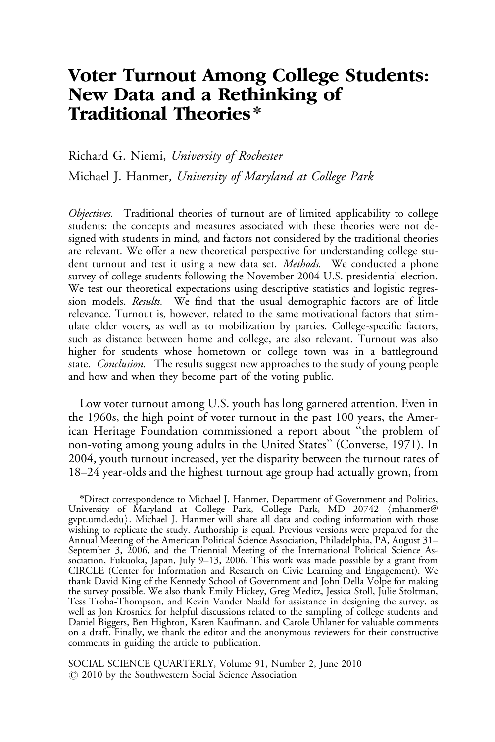# Voter Turnout Among College Students: New Data and a Rethinking of Traditional Theories\*

Richard G. Niemi, University of Rochester Michael J. Hanmer, University of Maryland at College Park

Objectives. Traditional theories of turnout are of limited applicability to college students: the concepts and measures associated with these theories were not designed with students in mind, and factors not considered by the traditional theories are relevant. We offer a new theoretical perspective for understanding college student turnout and test it using a new data set. Methods. We conducted a phone survey of college students following the November 2004 U.S. presidential election. We test our theoretical expectations using descriptive statistics and logistic regression models. Results. We find that the usual demographic factors are of little relevance. Turnout is, however, related to the same motivational factors that stimulate older voters, as well as to mobilization by parties. College-specific factors, such as distance between home and college, are also relevant. Turnout was also higher for students whose hometown or college town was in a battleground state. *Conclusion*. The results suggest new approaches to the study of young people and how and when they become part of the voting public.

Low voter turnout among U.S. youth has long garnered attention. Even in the 1960s, the high point of voter turnout in the past 100 years, the American Heritage Foundation commissioned a report about ''the problem of non-voting among young adults in the United States'' (Converse, 1971). In 2004, youth turnout increased, yet the disparity between the turnout rates of 18–24 year-olds and the highest turnout age group had actually grown, from

\*Direct correspondence to Michael J. Hanmer, Department of Government and Politics, University of Maryland at College Park, College Park, MD 20742 ([mhanmer@](mailto:mhanmer@gvpt.umd.edu) [gvpt.umd.edu](mailto:mhanmer@gvpt.umd.edu))[. Michael J. Hanmer will share all data and coding information with those](mailto:mhanmer@gvpt.umd.edu) [wishing to replicate the study. Authorship is equal. Previous versions were prepared for the](mailto:mhanmer@gvpt.umd.edu) [Annual Meeting of the American Political Science Association, Philadelphia, PA, August 31–](mailto:mhanmer@gvpt.umd.edu) [September 3, 2006, and the Triennial Meeting of the International Political Science As](mailto:mhanmer@gvpt.umd.edu)[sociation, Fukuoka, Japan, July 9–13, 2006. This work was made possible by a grant from](mailto:mhanmer@gvpt.umd.edu) [CIRCLE \(Center for Information and Research on Civic Learning and Engagement\). We](mailto:mhanmer@gvpt.umd.edu) [thank David King of the Kennedy School of Government and John Della Volpe for making](mailto:mhanmer@gvpt.umd.edu) [the survey possible. We also thank Emily Hickey, Greg Meditz, Jessica Stoll, Julie Stoltman,](mailto:mhanmer@gvpt.umd.edu) [Tess Troha-Thompson, and Kevin Vander Naald for assistance in designing the survey, as](mailto:mhanmer@gvpt.umd.edu) [well as Jon Krosnick for helpful discussions related to the sampling of college students and](mailto:mhanmer@gvpt.umd.edu) [Daniel Biggers, Ben Highton, Karen Kaufmann, and Carole Uhlaner for valuable comments](mailto:mhanmer@gvpt.umd.edu) [on a draft. Finally, we thank the editor and the anonymous reviewers for their constructive](mailto:mhanmer@gvpt.umd.edu) [comments in guiding the article to publication.](mailto:mhanmer@gvpt.umd.edu)

SOCIAL SCIENCE QUARTERLY, Volume 91, Number 2, June 2010  $\odot$  2010 by the Southwestern Social Science Association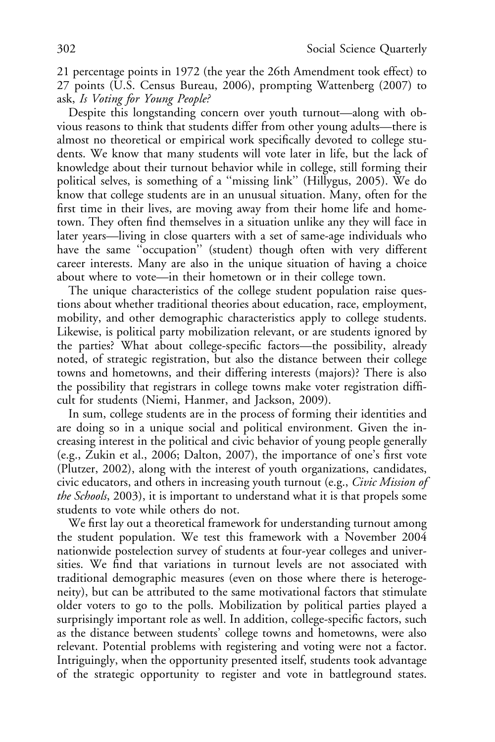21 percentage points in 1972 (the year the 26th Amendment took effect) to 27 points (U.S. Census Bureau, 2006), prompting Wattenberg (2007) to ask, Is Voting for Young People?

Despite this longstanding concern over youth turnout—along with obvious reasons to think that students differ from other young adults—there is almost no theoretical or empirical work specifically devoted to college students. We know that many students will vote later in life, but the lack of knowledge about their turnout behavior while in college, still forming their political selves, is something of a ''missing link'' (Hillygus, 2005). We do know that college students are in an unusual situation. Many, often for the first time in their lives, are moving away from their home life and hometown. They often find themselves in a situation unlike any they will face in later years—living in close quarters with a set of same-age individuals who have the same ''occupation'' (student) though often with very different career interests. Many are also in the unique situation of having a choice about where to vote—in their hometown or in their college town.

The unique characteristics of the college student population raise questions about whether traditional theories about education, race, employment, mobility, and other demographic characteristics apply to college students. Likewise, is political party mobilization relevant, or are students ignored by the parties? What about college-specific factors—the possibility, already noted, of strategic registration, but also the distance between their college towns and hometowns, and their differing interests (majors)? There is also the possibility that registrars in college towns make voter registration difficult for students (Niemi, Hanmer, and Jackson, 2009).

In sum, college students are in the process of forming their identities and are doing so in a unique social and political environment. Given the increasing interest in the political and civic behavior of young people generally (e.g., Zukin et al., 2006; Dalton, 2007), the importance of one's first vote (Plutzer, 2002), along with the interest of youth organizations, candidates, civic educators, and others in increasing youth turnout (e.g., Civic Mission of the Schools, 2003), it is important to understand what it is that propels some students to vote while others do not.

We first lay out a theoretical framework for understanding turnout among the student population. We test this framework with a November 2004 nationwide postelection survey of students at four-year colleges and universities. We find that variations in turnout levels are not associated with traditional demographic measures (even on those where there is heterogeneity), but can be attributed to the same motivational factors that stimulate older voters to go to the polls. Mobilization by political parties played a surprisingly important role as well. In addition, college-specific factors, such as the distance between students' college towns and hometowns, were also relevant. Potential problems with registering and voting were not a factor. Intriguingly, when the opportunity presented itself, students took advantage of the strategic opportunity to register and vote in battleground states.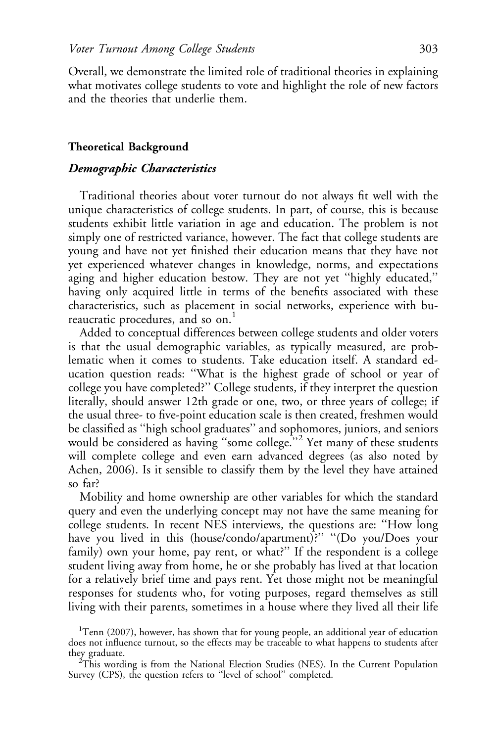Overall, we demonstrate the limited role of traditional theories in explaining what motivates college students to vote and highlight the role of new factors and the theories that underlie them.

## Theoretical Background

#### Demographic Characteristics

Traditional theories about voter turnout do not always fit well with the unique characteristics of college students. In part, of course, this is because students exhibit little variation in age and education. The problem is not simply one of restricted variance, however. The fact that college students are young and have not yet finished their education means that they have not yet experienced whatever changes in knowledge, norms, and expectations aging and higher education bestow. They are not yet ''highly educated,'' having only acquired little in terms of the benefits associated with these characteristics, such as placement in social networks, experience with bureaucratic procedures, and so on.<sup>1</sup>

Added to conceptual differences between college students and older voters is that the usual demographic variables, as typically measured, are problematic when it comes to students. Take education itself. A standard education question reads: ''What is the highest grade of school or year of college you have completed?'' College students, if they interpret the question literally, should answer 12th grade or one, two, or three years of college; if the usual three- to five-point education scale is then created, freshmen would be classified as ''high school graduates'' and sophomores, juniors, and seniors would be considered as having "some college."<sup>2</sup> Yet many of these students will complete college and even earn advanced degrees (as also noted by Achen, 2006). Is it sensible to classify them by the level they have attained so far?

Mobility and home ownership are other variables for which the standard query and even the underlying concept may not have the same meaning for college students. In recent NES interviews, the questions are: ''How long have you lived in this (house/condo/apartment)?" "(Do you/Does your family) own your home, pay rent, or what?'' If the respondent is a college student living away from home, he or she probably has lived at that location for a relatively brief time and pays rent. Yet those might not be meaningful responses for students who, for voting purposes, regard themselves as still living with their parents, sometimes in a house where they lived all their life

<sup>&</sup>lt;sup>1</sup>Tenn (2007), however, has shown that for young people, an additional year of education does not influence turnout, so the effects may be traceable to what happens to students after they graduate.

 ${}^{2}$ This wording is from the National Election Studies (NES). In the Current Population Survey (CPS), the question refers to ''level of school'' completed.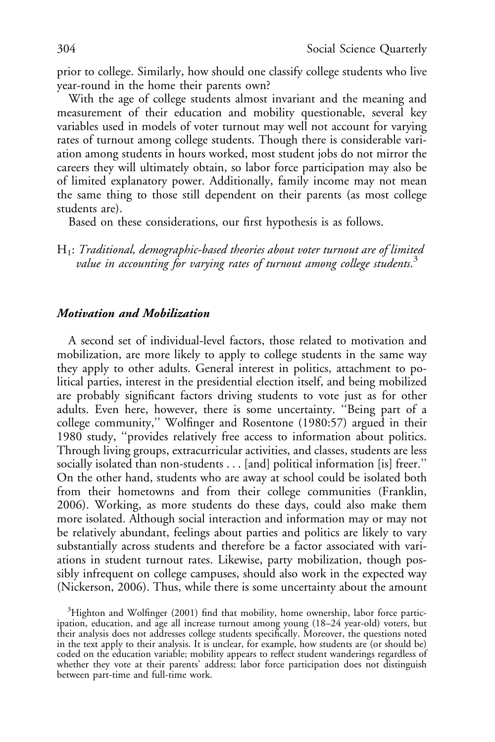prior to college. Similarly, how should one classify college students who live year-round in the home their parents own?

With the age of college students almost invariant and the meaning and measurement of their education and mobility questionable, several key variables used in models of voter turnout may well not account for varying rates of turnout among college students. Though there is considerable variation among students in hours worked, most student jobs do not mirror the careers they will ultimately obtain, so labor force participation may also be of limited explanatory power. Additionally, family income may not mean the same thing to those still dependent on their parents (as most college students are).

Based on these considerations, our first hypothesis is as follows.

 $H_1$ : Traditional, demographic-based theories about voter turnout are of limited value in accounting for varying rates of turnout among college students. $^3$ 

# Motivation and Mobilization

A second set of individual-level factors, those related to motivation and mobilization, are more likely to apply to college students in the same way they apply to other adults. General interest in politics, attachment to political parties, interest in the presidential election itself, and being mobilized are probably significant factors driving students to vote just as for other adults. Even here, however, there is some uncertainty. ''Being part of a college community,'' Wolfinger and Rosentone (1980:57) argued in their 1980 study, ''provides relatively free access to information about politics. Through living groups, extracurricular activities, and classes, students are less socially isolated than non-students . . . [and] political information [is] freer.'' On the other hand, students who are away at school could be isolated both from their hometowns and from their college communities (Franklin, 2006). Working, as more students do these days, could also make them more isolated. Although social interaction and information may or may not be relatively abundant, feelings about parties and politics are likely to vary substantially across students and therefore be a factor associated with variations in student turnout rates. Likewise, party mobilization, though possibly infrequent on college campuses, should also work in the expected way (Nickerson, 2006). Thus, while there is some uncertainty about the amount

<sup>&</sup>lt;sup>3</sup>Highton and Wolfinger (2001) find that mobility, home ownership, labor force participation, education, and age all increase turnout among young (18–24 year-old) voters, but their analysis does not addresses college students specifically. Moreover, the questions noted in the text apply to their analysis. It is unclear, for example, how students are (or should be) coded on the education variable; mobility appears to reflect student wanderings regardless of whether they vote at their parents' address; labor force participation does not distinguish between part-time and full-time work.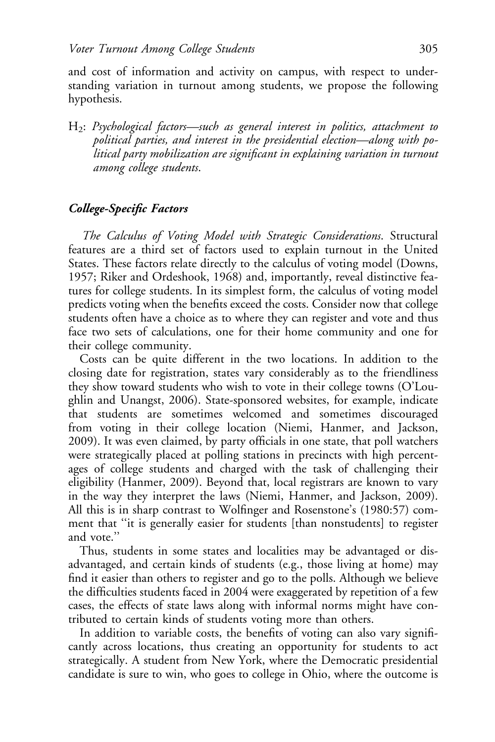and cost of information and activity on campus, with respect to understanding variation in turnout among students, we propose the following hypothesis.

H2: Psychological factors—such as general interest in politics, attachment to political parties, and interest in the presidential election—along with political party mobilization are significant in explaining variation in turnout among college students.

# College-Specific Factors

The Calculus of Voting Model with Strategic Considerations. Structural features are a third set of factors used to explain turnout in the United States. These factors relate directly to the calculus of voting model (Downs, 1957; Riker and Ordeshook, 1968) and, importantly, reveal distinctive features for college students. In its simplest form, the calculus of voting model predicts voting when the benefits exceed the costs. Consider now that college students often have a choice as to where they can register and vote and thus face two sets of calculations, one for their home community and one for their college community.

Costs can be quite different in the two locations. In addition to the closing date for registration, states vary considerably as to the friendliness they show toward students who wish to vote in their college towns (O'Loughlin and Unangst, 2006). State-sponsored websites, for example, indicate that students are sometimes welcomed and sometimes discouraged from voting in their college location (Niemi, Hanmer, and Jackson, 2009). It was even claimed, by party officials in one state, that poll watchers were strategically placed at polling stations in precincts with high percentages of college students and charged with the task of challenging their eligibility (Hanmer, 2009). Beyond that, local registrars are known to vary in the way they interpret the laws (Niemi, Hanmer, and Jackson, 2009). All this is in sharp contrast to Wolfinger and Rosenstone's (1980:57) comment that ''it is generally easier for students [than nonstudents] to register and vote.''

Thus, students in some states and localities may be advantaged or disadvantaged, and certain kinds of students (e.g., those living at home) may find it easier than others to register and go to the polls. Although we believe the difficulties students faced in 2004 were exaggerated by repetition of a few cases, the effects of state laws along with informal norms might have contributed to certain kinds of students voting more than others.

In addition to variable costs, the benefits of voting can also vary significantly across locations, thus creating an opportunity for students to act strategically. A student from New York, where the Democratic presidential candidate is sure to win, who goes to college in Ohio, where the outcome is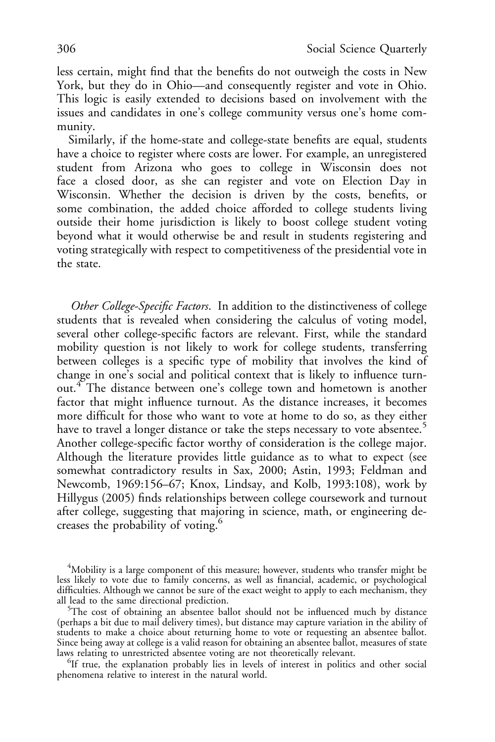less certain, might find that the benefits do not outweigh the costs in New York, but they do in Ohio—and consequently register and vote in Ohio. This logic is easily extended to decisions based on involvement with the issues and candidates in one's college community versus one's home community.

Similarly, if the home-state and college-state benefits are equal, students have a choice to register where costs are lower. For example, an unregistered student from Arizona who goes to college in Wisconsin does not face a closed door, as she can register and vote on Election Day in Wisconsin. Whether the decision is driven by the costs, benefits, or some combination, the added choice afforded to college students living outside their home jurisdiction is likely to boost college student voting beyond what it would otherwise be and result in students registering and voting strategically with respect to competitiveness of the presidential vote in the state.

Other College-Specific Factors. In addition to the distinctiveness of college students that is revealed when considering the calculus of voting model, several other college-specific factors are relevant. First, while the standard mobility question is not likely to work for college students, transferring between colleges is a specific type of mobility that involves the kind of change in one's social and political context that is likely to influence turnout.<sup>4</sup> The distance between one's college town and hometown is another factor that might influence turnout. As the distance increases, it becomes more difficult for those who want to vote at home to do so, as they either have to travel a longer distance or take the steps necessary to vote absentee.<sup>5</sup> Another college-specific factor worthy of consideration is the college major. Although the literature provides little guidance as to what to expect (see somewhat contradictory results in Sax, 2000; Astin, 1993; Feldman and Newcomb, 1969:156–67; Knox, Lindsay, and Kolb, 1993:108), work by Hillygus (2005) finds relationships between college coursework and turnout after college, suggesting that majoring in science, math, or engineering decreases the probability of voting.<sup>6</sup>

 $\rm ^4$ Mobility is a large component of this measure; however, students who transfer might be less likely to vote due to family concerns, as well as financial, academic, or psychological difficulties. Although we cannot be sure of the exact weight to apply to each mechanism, they all lead to the same directional prediction.

<sup>5</sup>The cost of obtaining an absentee ballot should not be influenced much by distance (perhaps a bit due to mail delivery times), but distance may capture variation in the ability of students to make a choice about returning home to vote or requesting an absentee ballot. Since being away at college is a valid reason for obtaining an absentee ballot, measures of state laws relating to unrestricted absentee voting are not theoretically relevant.

<sup>6</sup>If true, the explanation probably lies in levels of interest in politics and other social phenomena relative to interest in the natural world.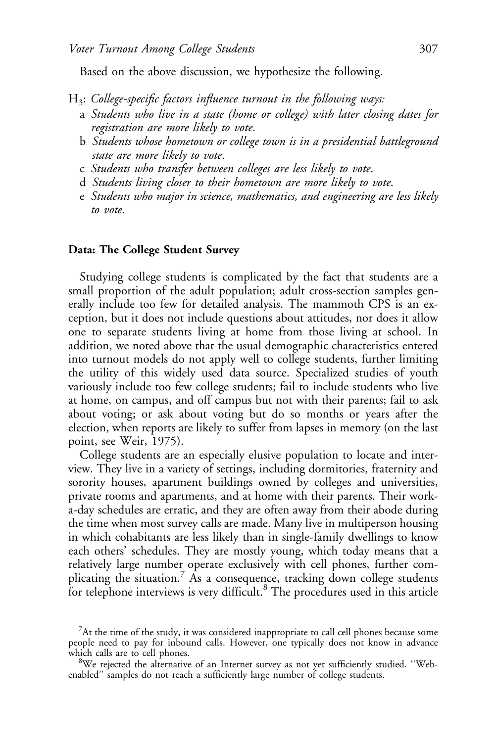Based on the above discussion, we hypothesize the following.

- $H_3$ : College-specific factors influence turnout in the following ways:
	- a Students who live in a state (home or college) with later closing dates for registration are more likely to vote.
	- b Students whose hometown or college town is in a presidential battleground state are more likely to vote.
	- c Students who transfer between colleges are less likely to vote.
	- d Students living closer to their hometown are more likely to vote.
	- e Students who major in science, mathematics, and engineering are less likely to vote.

#### Data: The College Student Survey

Studying college students is complicated by the fact that students are a small proportion of the adult population; adult cross-section samples generally include too few for detailed analysis. The mammoth CPS is an exception, but it does not include questions about attitudes, nor does it allow one to separate students living at home from those living at school. In addition, we noted above that the usual demographic characteristics entered into turnout models do not apply well to college students, further limiting the utility of this widely used data source. Specialized studies of youth variously include too few college students; fail to include students who live at home, on campus, and off campus but not with their parents; fail to ask about voting; or ask about voting but do so months or years after the election, when reports are likely to suffer from lapses in memory (on the last point, see Weir, 1975).

College students are an especially elusive population to locate and interview. They live in a variety of settings, including dormitories, fraternity and sorority houses, apartment buildings owned by colleges and universities, private rooms and apartments, and at home with their parents. Their worka-day schedules are erratic, and they are often away from their abode during the time when most survey calls are made. Many live in multiperson housing in which cohabitants are less likely than in single-family dwellings to know each others' schedules. They are mostly young, which today means that a relatively large number operate exclusively with cell phones, further complicating the situation.<sup>7</sup> As a consequence, tracking down college students for telephone interviews is very difficult.<sup>8</sup> The procedures used in this article

 $7$ At the time of the study, it was considered inappropriate to call cell phones because some people need to pay for inbound calls. However, one typically does not know in advance which calls are to cell phones.

<sup>&</sup>lt;sup>8</sup>We rejected the alternative of an Internet survey as not yet sufficiently studied. "Webenabled'' samples do not reach a sufficiently large number of college students.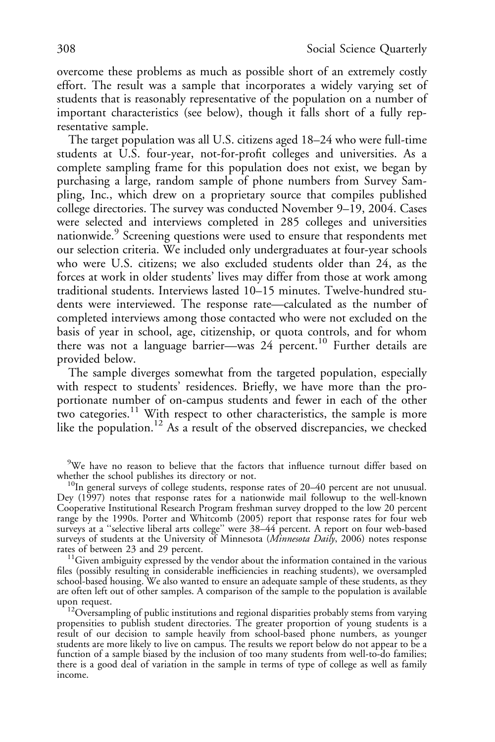overcome these problems as much as possible short of an extremely costly effort. The result was a sample that incorporates a widely varying set of students that is reasonably representative of the population on a number of important characteristics (see below), though it falls short of a fully representative sample.

The target population was all U.S. citizens aged 18–24 who were full-time students at U.S. four-year, not-for-profit colleges and universities. As a complete sampling frame for this population does not exist, we began by purchasing a large, random sample of phone numbers from Survey Sampling, Inc., which drew on a proprietary source that compiles published college directories. The survey was conducted November 9–19, 2004. Cases were selected and interviews completed in 285 colleges and universities nationwide.<sup>9</sup> Screening questions were used to ensure that respondents met our selection criteria. We included only undergraduates at four-year schools who were U.S. citizens; we also excluded students older than 24, as the forces at work in older students' lives may differ from those at work among traditional students. Interviews lasted 10–15 minutes. Twelve-hundred students were interviewed. The response rate—calculated as the number of completed interviews among those contacted who were not excluded on the basis of year in school, age, citizenship, or quota controls, and for whom there was not a language barrier—was 24 percent.<sup>10</sup> Further details are provided below.

The sample diverges somewhat from the targeted population, especially with respect to students' residences. Briefly, we have more than the proportionate number of on-campus students and fewer in each of the other two categories.<sup>11</sup> With respect to other characteristics, the sample is more like the population.<sup>12</sup> As a result of the observed discrepancies, we checked

<sup>9</sup>We have no reason to believe that the factors that influence turnout differ based on whether the school publishes its directory or not.<br><sup>10</sup>In general surveys of college students, response rates of 20–40 percent are not unusual.

Dey (1997) notes that response rates for a nationwide mail followup to the well-known Cooperative Institutional Research Program freshman survey dropped to the low 20 percent range by the 1990s. Porter and Whitcomb (2005) report that response rates for four web surveys at a ''selective liberal arts college'' were 38–44 percent. A report on four web-based surveys of students at the University of Minnesota (*Minnesota Daily*, 2006) notes response

rates of between 23 and 29 percent.<br><sup>11</sup>Given ambiguity expressed by the vendor about the information contained in the various files (possibly resulting in considerable inefficiencies in reaching students), we oversampled school-based housing. We also wanted to ensure an adequate sample of these students, as they are often left out of other samples. A comparison of the sample to the population is available

upon request.<br><sup>12</sup>Oversampling of public institutions and regional disparities probably stems from varying propensities to publish student directories. The greater proportion of young students is a result of our decision to sample heavily from school-based phone numbers, as younger students are more likely to live on campus. The results we report below do not appear to be a function of a sample biased by the inclusion of too many students from well-to-do families; there is a good deal of variation in the sample in terms of type of college as well as family income.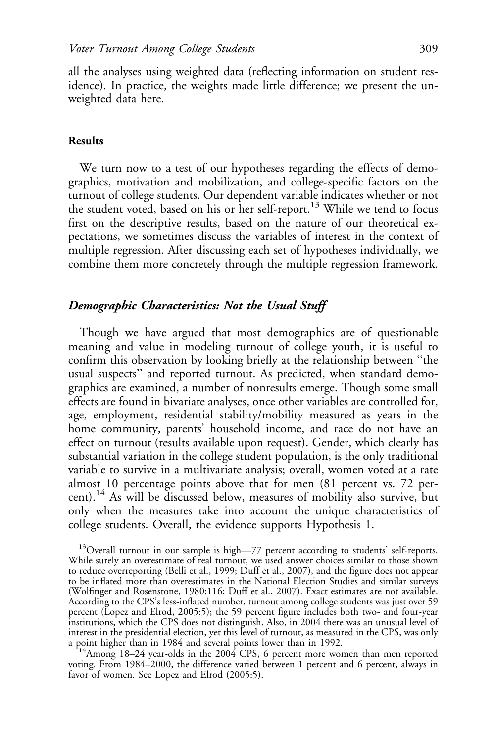all the analyses using weighted data (reflecting information on student residence). In practice, the weights made little difference; we present the unweighted data here.

#### Results

We turn now to a test of our hypotheses regarding the effects of demographics, motivation and mobilization, and college-specific factors on the turnout of college students. Our dependent variable indicates whether or not the student voted, based on his or her self-report.<sup>13</sup> While we tend to focus first on the descriptive results, based on the nature of our theoretical expectations, we sometimes discuss the variables of interest in the context of multiple regression. After discussing each set of hypotheses individually, we combine them more concretely through the multiple regression framework.

# Demographic Characteristics: Not the Usual Stuff

Though we have argued that most demographics are of questionable meaning and value in modeling turnout of college youth, it is useful to confirm this observation by looking briefly at the relationship between ''the usual suspects'' and reported turnout. As predicted, when standard demographics are examined, a number of nonresults emerge. Though some small effects are found in bivariate analyses, once other variables are controlled for, age, employment, residential stability/mobility measured as years in the home community, parents' household income, and race do not have an effect on turnout (results available upon request). Gender, which clearly has substantial variation in the college student population, is the only traditional variable to survive in a multivariate analysis; overall, women voted at a rate almost 10 percentage points above that for men (81 percent vs. 72 percent).<sup>14</sup> As will be discussed below, measures of mobility also survive, but only when the measures take into account the unique characteristics of college students. Overall, the evidence supports Hypothesis 1.

 $13$ Overall turnout in our sample is high—77 percent according to students' self-reports. While surely an overestimate of real turnout, we used answer choices similar to those shown to reduce overreporting (Belli et al., 1999; Duff et al., 2007), and the figure does not appear to be inflated more than overestimates in the National Election Studies and similar surveys (Wolfinger and Rosenstone, 1980:116; Duff et al., 2007). Exact estimates are not available. According to the CPS's less-inflated number, turnout among college students was just over 59 percent (Lopez and Elrod, 2005:5); the 59 percent figure includes both two- and four-year institutions, which the CPS does not distinguish. Also, in 2004 there was an unusual level of interest in the presidential election, yet this level of turnout, as measured in the CPS, was only

<sup>14</sup>Among 18–24 year-olds in the 2004 CPS, 6 percent more women than men reported voting. From 1984–2000, the difference varied between 1 percent and 6 percent, always in favor of women. See Lopez and Elrod (2005:5).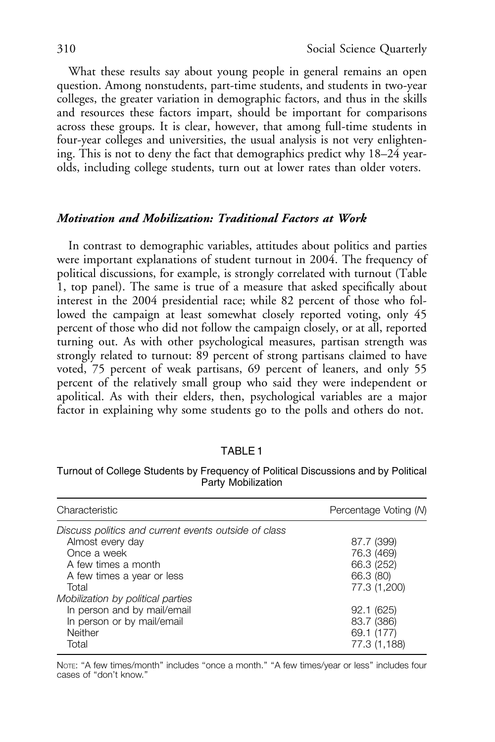What these results say about young people in general remains an open question. Among nonstudents, part-time students, and students in two-year colleges, the greater variation in demographic factors, and thus in the skills and resources these factors impart, should be important for comparisons across these groups. It is clear, however, that among full-time students in four-year colleges and universities, the usual analysis is not very enlightening. This is not to deny the fact that demographics predict why 18–24 yearolds, including college students, turn out at lower rates than older voters.

#### Motivation and Mobilization: Traditional Factors at Work

In contrast to demographic variables, attitudes about politics and parties were important explanations of student turnout in 2004. The frequency of political discussions, for example, is strongly correlated with turnout (Table 1, top panel). The same is true of a measure that asked specifically about interest in the 2004 presidential race; while 82 percent of those who followed the campaign at least somewhat closely reported voting, only 45 percent of those who did not follow the campaign closely, or at all, reported turning out. As with other psychological measures, partisan strength was strongly related to turnout: 89 percent of strong partisans claimed to have voted, 75 percent of weak partisans, 69 percent of leaners, and only 55 percent of the relatively small group who said they were independent or apolitical. As with their elders, then, psychological variables are a major factor in explaining why some students go to the polls and others do not.

# TABLE 1

Turnout of College Students by Frequency of Political Discussions and by Political Party Mobilization

| Characteristic                                       | Percentage Voting (N) |
|------------------------------------------------------|-----------------------|
| Discuss politics and current events outside of class |                       |
| Almost every day                                     | 87.7 (399)            |
| Once a week                                          | 76.3 (469)            |
| A few times a month                                  | 66.3 (252)            |
| A few times a year or less                           | 66.3 (80)             |
| Total                                                | 77.3 (1,200)          |
| Mobilization by political parties                    |                       |
| In person and by mail/email                          | 92.1(625)             |
| In person or by mail/email                           | 83.7 (386)            |
| <b>Neither</b>                                       | 69.1 (177)            |
| Total                                                | 77.3 (1,188)          |

NOTE: "A few times/month" includes "once a month." "A few times/year or less" includes four cases of ''don't know.''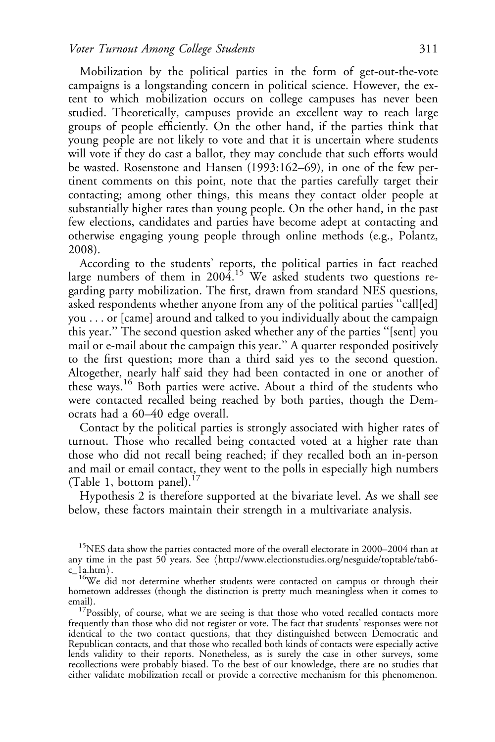Mobilization by the political parties in the form of get-out-the-vote campaigns is a longstanding concern in political science. However, the extent to which mobilization occurs on college campuses has never been studied. Theoretically, campuses provide an excellent way to reach large groups of people efficiently. On the other hand, if the parties think that young people are not likely to vote and that it is uncertain where students will vote if they do cast a ballot, they may conclude that such efforts would be wasted. Rosenstone and Hansen (1993:162–69), in one of the few pertinent comments on this point, note that the parties carefully target their contacting; among other things, this means they contact older people at substantially higher rates than young people. On the other hand, in the past few elections, candidates and parties have become adept at contacting and otherwise engaging young people through online methods (e.g., Polantz, 2008).

According to the students' reports, the political parties in fact reached large numbers of them in  $2004$ .<sup>15</sup> We asked students two questions regarding party mobilization. The first, drawn from standard NES questions, asked respondents whether anyone from any of the political parties ''call[ed] you . . . or [came] around and talked to you individually about the campaign this year.'' The second question asked whether any of the parties ''[sent] you mail or e-mail about the campaign this year.'' A quarter responded positively to the first question; more than a third said yes to the second question. Altogether, nearly half said they had been contacted in one or another of these ways.<sup>16</sup> Both parties were active. About a third of the students who were contacted recalled being reached by both parties, though the Democrats had a 60–40 edge overall.

Contact by the political parties is strongly associated with higher rates of turnout. Those who recalled being contacted voted at a higher rate than those who did not recall being reached; if they recalled both an in-person and mail or email contact, they went to the polls in especially high numbers (Table 1, bottom panel). $^{17}$ 

Hypothesis 2 is therefore supported at the bivariate level. As we shall see below, these factors maintain their strength in a multivariate analysis.

<sup>&</sup>lt;sup>15</sup>NES data show the parties contacted more of the overall electorate in 2000–2004 than at any time in the past 50 years. See  $\langle \text{http://www.election studies.org/negative/toptable/tab6-c_1a.htm.}\rangle$ .

<sup>&</sup>lt;sup>16</sup>We did not determine whether students were contacted on campus or through their hometown addresses (though the distinction is pretty much meaningless when it comes to

email).  $17$ Possibly, of course, what we are seeing is that those who voted recalled contacts more frequently than those who did not register or vote. The fact that students' responses were not identical to the two contact questions, that they distinguished between Democratic and Republican contacts, and that those who recalled both kinds of contacts were especially active lends validity to their reports. Nonetheless, as is surely the case in other surveys, some recollections were probably biased. To the best of our knowledge, there are no studies that either validate mobilization recall or provide a corrective mechanism for this phenomenon.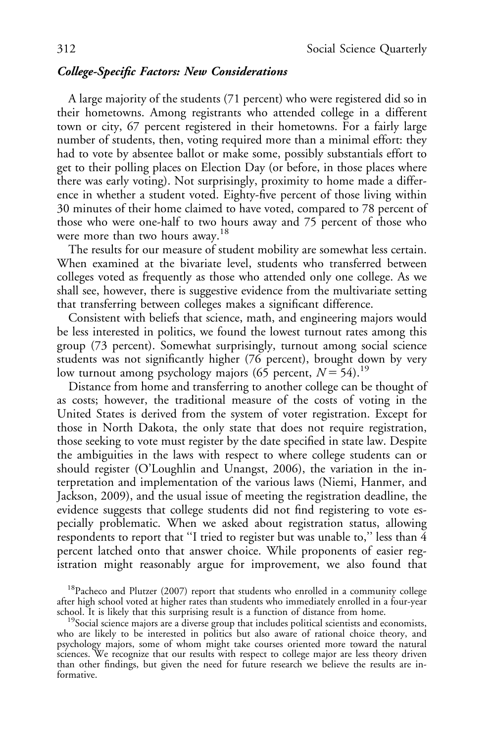#### College-Specific Factors: New Considerations

A large majority of the students (71 percent) who were registered did so in their hometowns. Among registrants who attended college in a different town or city, 67 percent registered in their hometowns. For a fairly large number of students, then, voting required more than a minimal effort: they had to vote by absentee ballot or make some, possibly substantials effort to get to their polling places on Election Day (or before, in those places where there was early voting). Not surprisingly, proximity to home made a difference in whether a student voted. Eighty-five percent of those living within 30 minutes of their home claimed to have voted, compared to 78 percent of those who were one-half to two hours away and 75 percent of those who were more than two hours away.<sup>18</sup>

The results for our measure of student mobility are somewhat less certain. When examined at the bivariate level, students who transferred between colleges voted as frequently as those who attended only one college. As we shall see, however, there is suggestive evidence from the multivariate setting that transferring between colleges makes a significant difference.

Consistent with beliefs that science, math, and engineering majors would be less interested in politics, we found the lowest turnout rates among this group (73 percent). Somewhat surprisingly, turnout among social science students was not significantly higher (76 percent), brought down by very low turnout among psychology majors (65 percent,  $N = 54$ ).<sup>19</sup>

Distance from home and transferring to another college can be thought of as costs; however, the traditional measure of the costs of voting in the United States is derived from the system of voter registration. Except for those in North Dakota, the only state that does not require registration, those seeking to vote must register by the date specified in state law. Despite the ambiguities in the laws with respect to where college students can or should register (O'Loughlin and Unangst, 2006), the variation in the interpretation and implementation of the various laws (Niemi, Hanmer, and Jackson, 2009), and the usual issue of meeting the registration deadline, the evidence suggests that college students did not find registering to vote especially problematic. When we asked about registration status, allowing respondents to report that ''I tried to register but was unable to,'' less than 4 percent latched onto that answer choice. While proponents of easier registration might reasonably argue for improvement, we also found that

 $18P$ acheco and Plutzer (2007) report that students who enrolled in a community college after high school voted at higher rates than students who immediately enrolled in a four-year school. It is likely that this surprising result is a function of distance from home.

<sup>&</sup>lt;sup>19</sup>Social science majors are a diverse group that includes political scientists and economists, who are likely to be interested in politics but also aware of rational choice theory, and psychology majors, some of whom might take courses oriented more toward the natural sciences. We recognize that our results with respect to college major are less theory driven than other findings, but given the need for future research we believe the results are informative.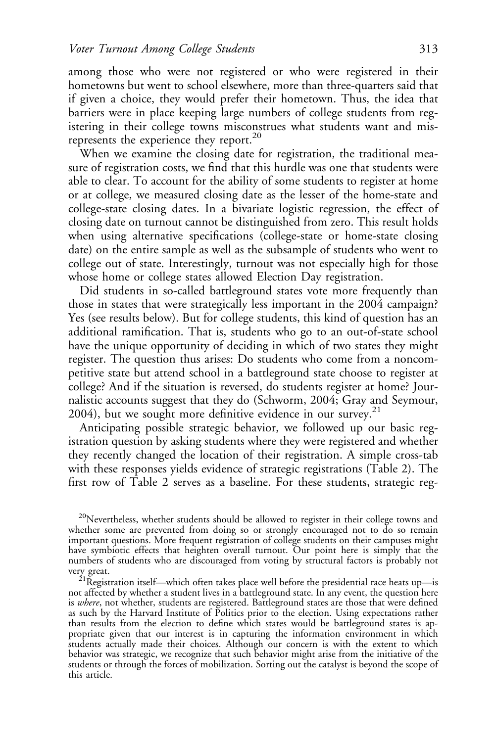among those who were not registered or who were registered in their hometowns but went to school elsewhere, more than three-quarters said that if given a choice, they would prefer their hometown. Thus, the idea that barriers were in place keeping large numbers of college students from registering in their college towns misconstrues what students want and misrepresents the experience they report.<sup>20</sup>

When we examine the closing date for registration, the traditional measure of registration costs, we find that this hurdle was one that students were able to clear. To account for the ability of some students to register at home or at college, we measured closing date as the lesser of the home-state and college-state closing dates. In a bivariate logistic regression, the effect of closing date on turnout cannot be distinguished from zero. This result holds when using alternative specifications (college-state or home-state closing date) on the entire sample as well as the subsample of students who went to college out of state. Interestingly, turnout was not especially high for those whose home or college states allowed Election Day registration.

Did students in so-called battleground states vote more frequently than those in states that were strategically less important in the 2004 campaign? Yes (see results below). But for college students, this kind of question has an additional ramification. That is, students who go to an out-of-state school have the unique opportunity of deciding in which of two states they might register. The question thus arises: Do students who come from a noncompetitive state but attend school in a battleground state choose to register at college? And if the situation is reversed, do students register at home? Journalistic accounts suggest that they do (Schworm, 2004; Gray and Seymour,  $2004$ ), but we sought more definitive evidence in our survey.<sup>21</sup>

Anticipating possible strategic behavior, we followed up our basic registration question by asking students where they were registered and whether they recently changed the location of their registration. A simple cross-tab with these responses yields evidence of strategic registrations (Table 2). The first row of Table 2 serves as a baseline. For these students, strategic reg-

<sup>&</sup>lt;sup>20</sup>Nevertheless, whether students should be allowed to register in their college towns and whether some are prevented from doing so or strongly encouraged not to do so remain important questions. More frequent registration of college students on their campuses might have symbiotic effects that heighten overall turnout. Our point here is simply that the numbers of students who are discouraged from voting by structural factors is probably not

very great. 21Registration itself—which often takes place well before the presidential race heats up—is not affected by whether a student lives in a battleground state. In any event, the question here is where, not whether, students are registered. Battleground states are those that were defined as such by the Harvard Institute of Politics prior to the election. Using expectations rather than results from the election to define which states would be battleground states is appropriate given that our interest is in capturing the information environment in which students actually made their choices. Although our concern is with the extent to which behavior was strategic, we recognize that such behavior might arise from the initiative of the students or through the forces of mobilization. Sorting out the catalyst is beyond the scope of this article.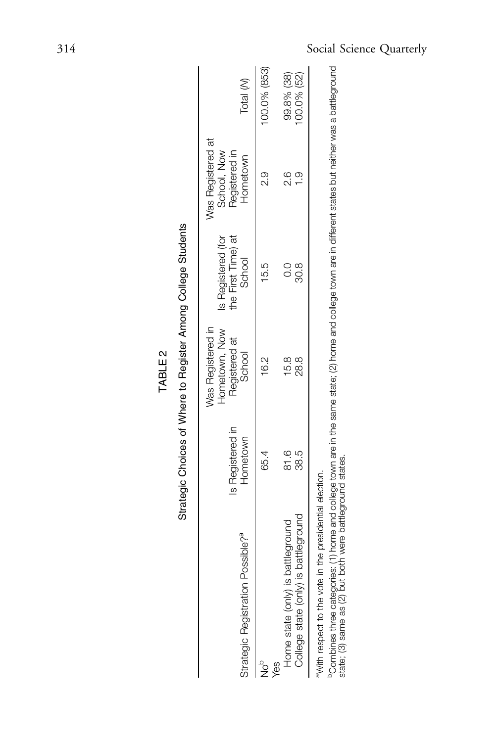| Strategic Registration Possible? <sup>a</sup>                                                                                                                                                                                                                                          | Is Registered in<br>Hometown | Vas Registered in<br>Hometown, Now<br>Registered at<br>School | the First Time) at<br>Is Registered (for<br>School | Vas Registered at<br>Registered in<br>School, Now<br>Hometown | Total (M)                 |
|----------------------------------------------------------------------------------------------------------------------------------------------------------------------------------------------------------------------------------------------------------------------------------------|------------------------------|---------------------------------------------------------------|----------------------------------------------------|---------------------------------------------------------------|---------------------------|
| do <sup>b</sup><br>Yes                                                                                                                                                                                                                                                                 | 65.4                         | 16.2                                                          | 15.5                                               | O.<br>N                                                       | 100.0% (853)              |
| College state (only) is battleground<br>Home state (only) is battleground                                                                                                                                                                                                              | 81.5<br>38.5                 | 15.8<br>28.8                                                  | 0.0<br>30.8                                        | 0.i                                                           | 99.8% (38)<br>100.0% (52) |
| Combines three categories: (1) home and college town are in the same state; (2) home and college town are in different states but neither was a battleground<br>state; (3) same as (2) but both were battleground states.<br>in the presidential election.<br>With respect to the vote |                              |                                                               |                                                    |                                                               |                           |

Strategic Choices of Where to Register Among College Students TABLE 2

Strategic Choices of Where to Register Among College Students

# 314 Social Science Quarterly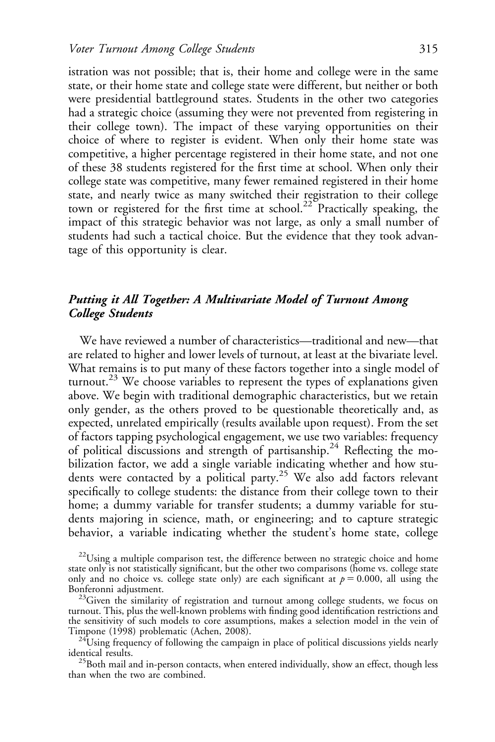istration was not possible; that is, their home and college were in the same state, or their home state and college state were different, but neither or both were presidential battleground states. Students in the other two categories had a strategic choice (assuming they were not prevented from registering in their college town). The impact of these varying opportunities on their choice of where to register is evident. When only their home state was competitive, a higher percentage registered in their home state, and not one of these 38 students registered for the first time at school. When only their college state was competitive, many fewer remained registered in their home state, and nearly twice as many switched their registration to their college town or registered for the first time at school.<sup>22</sup> Practically speaking, the impact of this strategic behavior was not large, as only a small number of students had such a tactical choice. But the evidence that they took advantage of this opportunity is clear.

# Putting it All Together: A Multivariate Model of Turnout Among College Students

We have reviewed a number of characteristics—traditional and new—that are related to higher and lower levels of turnout, at least at the bivariate level. What remains is to put many of these factors together into a single model of turnout.<sup>23</sup> We choose variables to represent the types of explanations given above. We begin with traditional demographic characteristics, but we retain only gender, as the others proved to be questionable theoretically and, as expected, unrelated empirically (results available upon request). From the set of factors tapping psychological engagement, we use two variables: frequency of political discussions and strength of partisanship.24 Reflecting the mobilization factor, we add a single variable indicating whether and how students were contacted by a political party.<sup>25</sup> We also add factors relevant specifically to college students: the distance from their college town to their home; a dummy variable for transfer students; a dummy variable for students majoring in science, math, or engineering; and to capture strategic behavior, a variable indicating whether the student's home state, college

 $22$ Using a multiple comparison test, the difference between no strategic choice and home state only is not statistically significant, but the other two comparisons (home vs. college state only and no choice vs. college state only) are each significant at  $p = 0.000$ , all using the Bonferonni adjustment.

<sup>23</sup>Given the similarity of registration and turnout among college students, we focus on turnout. This, plus the well-known problems with finding good identification restrictions and the sensitivity of such models to core assumptions, makes a selection model in the vein of Timpone (1998) problematic (Achen, 2008).

 $124$ Using frequency of following the campaign in place of political discussions yields nearly identical results.

<sup>25</sup>Both mail and in-person contacts, when entered individually, show an effect, though less than when the two are combined.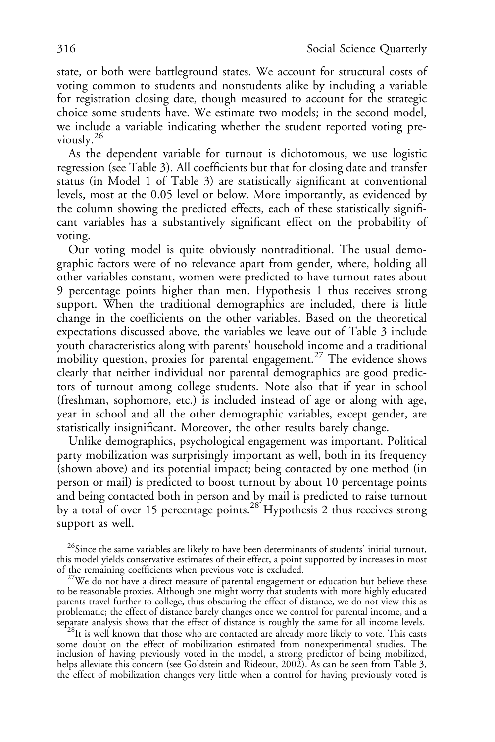state, or both were battleground states. We account for structural costs of voting common to students and nonstudents alike by including a variable for registration closing date, though measured to account for the strategic choice some students have. We estimate two models; in the second model, we include a variable indicating whether the student reported voting previously.26

As the dependent variable for turnout is dichotomous, we use logistic regression (see Table 3). All coefficients but that for closing date and transfer status (in Model 1 of Table 3) are statistically significant at conventional levels, most at the 0.05 level or below. More importantly, as evidenced by the column showing the predicted effects, each of these statistically significant variables has a substantively significant effect on the probability of voting.

Our voting model is quite obviously nontraditional. The usual demographic factors were of no relevance apart from gender, where, holding all other variables constant, women were predicted to have turnout rates about 9 percentage points higher than men. Hypothesis 1 thus receives strong support. When the traditional demographics are included, there is little change in the coefficients on the other variables. Based on the theoretical expectations discussed above, the variables we leave out of Table 3 include youth characteristics along with parents' household income and a traditional mobility question, proxies for parental engagement.<sup>27</sup> The evidence shows clearly that neither individual nor parental demographics are good predictors of turnout among college students. Note also that if year in school (freshman, sophomore, etc.) is included instead of age or along with age, year in school and all the other demographic variables, except gender, are statistically insignificant. Moreover, the other results barely change.

Unlike demographics, psychological engagement was important. Political party mobilization was surprisingly important as well, both in its frequency (shown above) and its potential impact; being contacted by one method (in person or mail) is predicted to boost turnout by about 10 percentage points and being contacted both in person and by mail is predicted to raise turnout by a total of over 15 percentage points.<sup>28</sup> Hypothesis 2 thus receives strong support as well.

 $26$ Since the same variables are likely to have been determinants of students' initial turnout, this model yields conservative estimates of their effect, a point supported by increases in most

<sup>27</sup>We do not have a direct measure of parental engagement or education but believe these to be reasonable proxies. Although one might worry that students with more highly educated parents travel further to college, thus obscuring the effect of distance, we do not view this as problematic; the effect of distance barely changes once we control for parental income, and a

 $^{28}$ It is well known that those who are contacted are already more likely to vote. This casts some doubt on the effect of mobilization estimated from nonexperimental studies. The inclusion of having previously voted in the model, a strong predictor of being mobilized, helps alleviate this concern (see Goldstein and Rideout, 2002). As can be seen from Table 3, the effect of mobilization changes very little when a control for having previously voted is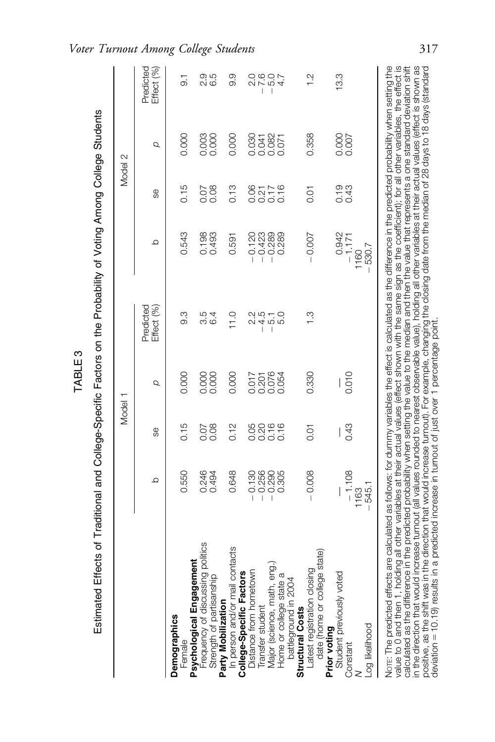|                                                                                                                                                                                                                                                                                                                                                                                                                                                                        |                                       | Model                |                         |                                                                                                                                                                                                                                                                                             |                               |                        | Model 2                 |                         |
|------------------------------------------------------------------------------------------------------------------------------------------------------------------------------------------------------------------------------------------------------------------------------------------------------------------------------------------------------------------------------------------------------------------------------------------------------------------------|---------------------------------------|----------------------|-------------------------|---------------------------------------------------------------------------------------------------------------------------------------------------------------------------------------------------------------------------------------------------------------------------------------------|-------------------------------|------------------------|-------------------------|-------------------------|
|                                                                                                                                                                                                                                                                                                                                                                                                                                                                        | Δ                                     | 9S                   | Q                       | Predicted<br>Effect (%)                                                                                                                                                                                                                                                                     | Q                             | 96                     | Q                       | Predicted<br>Effect (%) |
| <b>Demographics</b><br>Female                                                                                                                                                                                                                                                                                                                                                                                                                                          | 0.550                                 | 0.15                 | 0.000                   | 9.3                                                                                                                                                                                                                                                                                         | 0.543                         | 0.15                   | 0.000                   | $\overline{5}$          |
| Frequency of discussing politics<br>Strength of partisanship<br>ment<br>Psychological Engager<br>Strength of partisanshi                                                                                                                                                                                                                                                                                                                                               | 0.246<br>0.494                        | 0.08<br>0.07         | 0.000                   | 3<br>3<br>3<br>4<br>3                                                                                                                                                                                                                                                                       | 0.198<br>0.493                | 0.08<br>0.07           | 0.003                   | 01 10<br>01 10          |
| In person and/or mail contacts<br>Party Mobilization                                                                                                                                                                                                                                                                                                                                                                                                                   | 0.648                                 | 0.12                 | 0.000                   | $\frac{0}{11}$                                                                                                                                                                                                                                                                              | 0.591                         | 0.13                   | 0.000                   | 9.9                     |
| Distance from hometown<br>ဖ္ပ<br>College-Specific Factor<br>Transfer student                                                                                                                                                                                                                                                                                                                                                                                           | 0.130<br>L                            | 0.05                 |                         |                                                                                                                                                                                                                                                                                             | $-0.120$                      | 0.06                   | 0.030                   |                         |
| Major (science, math, eng.)<br>Home or college state a<br>battleground in 2004                                                                                                                                                                                                                                                                                                                                                                                         | 0.256<br>0.305<br>$\overline{1}$<br>I | 0.20<br>0.16<br>0.16 | 00000<br>00000<br>00000 | $\begin{array}{c} 24.7 & 0.00 \\ 0.00 & 0.00 \\ 0.00 & 0.00 \\ 0.00 & 0.00 \\ 0.00 & 0.00 \\ 0.00 & 0.00 \\ 0.00 & 0.00 \\ 0.00 & 0.00 \\ 0.00 & 0.00 \\ 0.00 & 0.00 \\ 0.00 & 0.00 \\ 0.00 & 0.00 \\ 0.00 & 0.00 \\ 0.00 & 0.00 \\ 0.00 & 0.00 \\ 0.00 & 0.00 \\ 0.00 & 0.00 \\ 0.00 & 0.$ | $-0.423$<br>$-0.289$<br>0.289 | $0.17$<br>0.17<br>0.16 | 0.041<br>0.082<br>0.071 | L                       |
| Latest registration closing<br>Structural Costs                                                                                                                                                                                                                                                                                                                                                                                                                        | $-0.008$                              | 0.01                 | 0.330                   | ო<br>T                                                                                                                                                                                                                                                                                      | $-0.007$                      | 0.01                   | 0.358                   | $\frac{2}{1}$           |
| date (home or college state)<br><b>Prior voting</b><br>Student previously voted<br>Constant                                                                                                                                                                                                                                                                                                                                                                            | $-1.108$<br>1163                      | 0.43                 | 0.010                   |                                                                                                                                                                                                                                                                                             | 0.942<br>$-1.171$<br>1160     | 0.13                   | 0.000<br>0.007          | 13.3                    |
| Log likelihood                                                                                                                                                                                                                                                                                                                                                                                                                                                         | $-545.1$                              |                      |                         |                                                                                                                                                                                                                                                                                             | $-530.7$                      |                        |                         |                         |
| Nore: The predicted effects are calculated as follows: for dummy variables the effect is calculated as the difference in the predicted probability when setting the<br>value to 0 and then 1, holding all other variables at thei<br>in the direction that would increase turnout (all values rounded to nearest observable value), holding all other variables at their actual values (effect is shown as<br>positive, as the shift was in the direction that would i |                                       |                      |                         |                                                                                                                                                                                                                                                                                             |                               |                        |                         |                         |

TABLE 3

Voter Turnout Among College Students 317

deviation =

10.19) results in a predicted increase in turnout of just over 1 percentage point.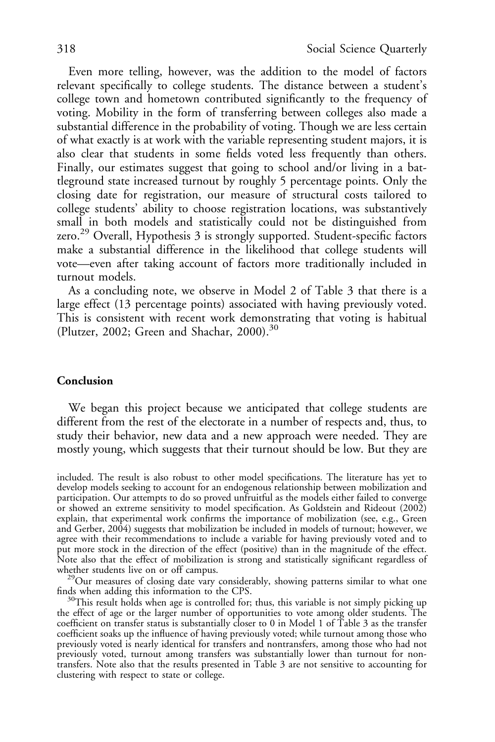Even more telling, however, was the addition to the model of factors relevant specifically to college students. The distance between a student's college town and hometown contributed significantly to the frequency of voting. Mobility in the form of transferring between colleges also made a substantial difference in the probability of voting. Though we are less certain of what exactly is at work with the variable representing student majors, it is also clear that students in some fields voted less frequently than others. Finally, our estimates suggest that going to school and/or living in a battleground state increased turnout by roughly 5 percentage points. Only the closing date for registration, our measure of structural costs tailored to college students' ability to choose registration locations, was substantively small in both models and statistically could not be distinguished from zero.<sup>29</sup> Overall, Hypothesis  $3$  is strongly supported. Student-specific factors make a substantial difference in the likelihood that college students will vote—even after taking account of factors more traditionally included in turnout models.

As a concluding note, we observe in Model 2 of Table 3 that there is a large effect (13 percentage points) associated with having previously voted. This is consistent with recent work demonstrating that voting is habitual (Plutzer, 2002; Green and Shachar, 2000).<sup>30</sup>

# Conclusion

We began this project because we anticipated that college students are different from the rest of the electorate in a number of respects and, thus, to study their behavior, new data and a new approach were needed. They are mostly young, which suggests that their turnout should be low. But they are

included. The result is also robust to other model specifications. The literature has yet to develop models seeking to account for an endogenous relationship between mobilization and participation. Our attempts to do so proved unfruitful as the models either failed to converge or showed an extreme sensitivity to model specification. As Goldstein and Rideout (2002) explain, that experimental work confirms the importance of mobilization (see, e.g., Green and Gerber, 2004) suggests that mobilization be included in models of turnout; however, we agree with their recommendations to include a variable for having previously voted and to put more stock in the direction of the effect (positive) than in the magnitude of the effect. Note also that the effect of mobilization is strong and statistically significant regardless of whether students live on or off campus.

<sup>&</sup>lt;sup>29</sup>Our measures of closing date vary considerably, showing patterns similar to what one finds when adding this information to the CPS.

 $30$ This result holds when age is controlled for; thus, this variable is not simply picking up the effect of age or the larger number of opportunities to vote among older students. The coefficient on transfer status is substantially closer to 0 in Model 1 of Table 3 as the transfer coefficient soaks up the influence of having previously voted; while turnout among those who previously voted is nearly identical for transfers and nontransfers, among those who had not previously voted, turnout among transfers was substantially lower than turnout for nontransfers. Note also that the results presented in Table 3 are not sensitive to accounting for clustering with respect to state or college.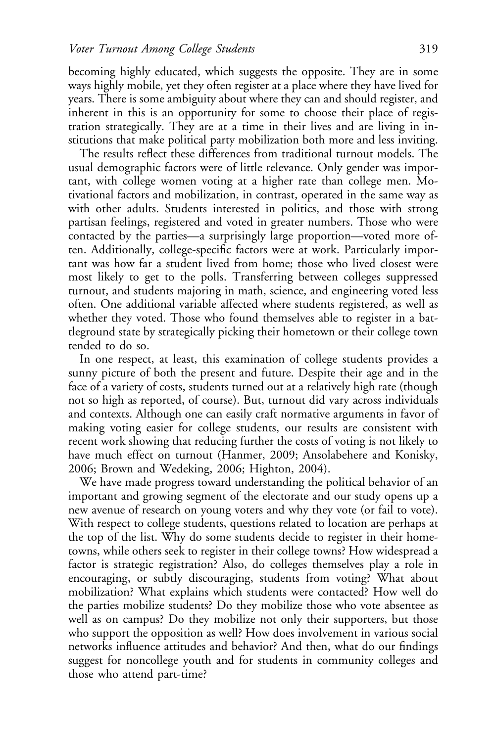becoming highly educated, which suggests the opposite. They are in some ways highly mobile, yet they often register at a place where they have lived for years. There is some ambiguity about where they can and should register, and inherent in this is an opportunity for some to choose their place of registration strategically. They are at a time in their lives and are living in institutions that make political party mobilization both more and less inviting.

The results reflect these differences from traditional turnout models. The usual demographic factors were of little relevance. Only gender was important, with college women voting at a higher rate than college men. Motivational factors and mobilization, in contrast, operated in the same way as with other adults. Students interested in politics, and those with strong partisan feelings, registered and voted in greater numbers. Those who were contacted by the parties—a surprisingly large proportion—voted more often. Additionally, college-specific factors were at work. Particularly important was how far a student lived from home; those who lived closest were most likely to get to the polls. Transferring between colleges suppressed turnout, and students majoring in math, science, and engineering voted less often. One additional variable affected where students registered, as well as whether they voted. Those who found themselves able to register in a battleground state by strategically picking their hometown or their college town tended to do so.

In one respect, at least, this examination of college students provides a sunny picture of both the present and future. Despite their age and in the face of a variety of costs, students turned out at a relatively high rate (though not so high as reported, of course). But, turnout did vary across individuals and contexts. Although one can easily craft normative arguments in favor of making voting easier for college students, our results are consistent with recent work showing that reducing further the costs of voting is not likely to have much effect on turnout (Hanmer, 2009; Ansolabehere and Konisky, 2006; Brown and Wedeking, 2006; Highton, 2004).

We have made progress toward understanding the political behavior of an important and growing segment of the electorate and our study opens up a new avenue of research on young voters and why they vote (or fail to vote). With respect to college students, questions related to location are perhaps at the top of the list. Why do some students decide to register in their hometowns, while others seek to register in their college towns? How widespread a factor is strategic registration? Also, do colleges themselves play a role in encouraging, or subtly discouraging, students from voting? What about mobilization? What explains which students were contacted? How well do the parties mobilize students? Do they mobilize those who vote absentee as well as on campus? Do they mobilize not only their supporters, but those who support the opposition as well? How does involvement in various social networks influence attitudes and behavior? And then, what do our findings suggest for noncollege youth and for students in community colleges and those who attend part-time?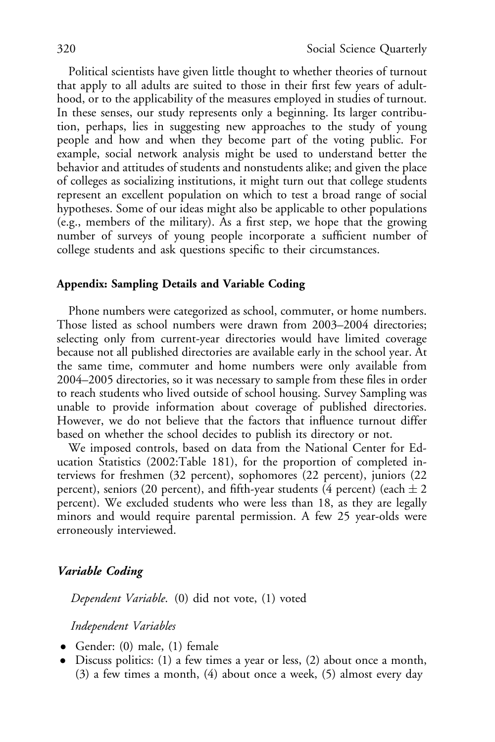Political scientists have given little thought to whether theories of turnout that apply to all adults are suited to those in their first few years of adulthood, or to the applicability of the measures employed in studies of turnout. In these senses, our study represents only a beginning. Its larger contribution, perhaps, lies in suggesting new approaches to the study of young people and how and when they become part of the voting public. For example, social network analysis might be used to understand better the behavior and attitudes of students and nonstudents alike; and given the place of colleges as socializing institutions, it might turn out that college students represent an excellent population on which to test a broad range of social hypotheses. Some of our ideas might also be applicable to other populations (e.g., members of the military). As a first step, we hope that the growing number of surveys of young people incorporate a sufficient number of college students and ask questions specific to their circumstances.

#### Appendix: Sampling Details and Variable Coding

Phone numbers were categorized as school, commuter, or home numbers. Those listed as school numbers were drawn from 2003–2004 directories; selecting only from current-year directories would have limited coverage because not all published directories are available early in the school year. At the same time, commuter and home numbers were only available from 2004–2005 directories, so it was necessary to sample from these files in order to reach students who lived outside of school housing. Survey Sampling was unable to provide information about coverage of published directories. However, we do not believe that the factors that influence turnout differ based on whether the school decides to publish its directory or not.

We imposed controls, based on data from the National Center for Education Statistics (2002:Table 181), for the proportion of completed interviews for freshmen (32 percent), sophomores (22 percent), juniors (22 percent), seniors (20 percent), and fifth-year students (4 percent) (each  $\pm$  2 percent). We excluded students who were less than 18, as they are legally minors and would require parental permission. A few 25 year-olds were erroneously interviewed.

# Variable Coding

Dependent Variable. (0) did not vote, (1) voted

Independent Variables

- Gender: (0) male, (1) female
- Discuss politics: (1) a few times a year or less, (2) about once a month, (3) a few times a month, (4) about once a week, (5) almost every day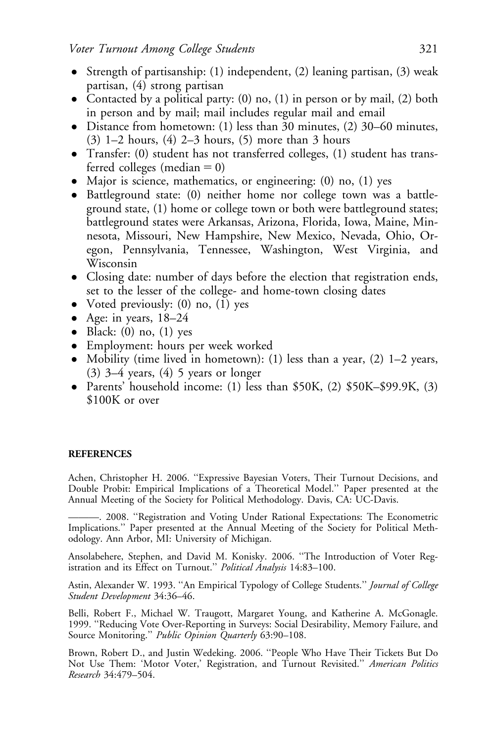- Strength of partisanship: (1) independent, (2) leaning partisan, (3) weak partisan, (4) strong partisan
- Contacted by a political party:  $(0)$  no,  $(1)$  in person or by mail,  $(2)$  both in person and by mail; mail includes regular mail and email
- Distance from hometown: (1) less than 30 minutes, (2) 30–60 minutes,  $(3)$  1–2 hours,  $(4)$  2–3 hours,  $(5)$  more than 3 hours
- Transfer: (0) student has not transferred colleges, (1) student has transferred colleges (median  $= 0$ )
- Major is science, mathematics, or engineering: (0) no, (1) yes
- Battleground state: (0) neither home nor college town was a battleground state, (1) home or college town or both were battleground states; battleground states were Arkansas, Arizona, Florida, Iowa, Maine, Minnesota, Missouri, New Hampshire, New Mexico, Nevada, Ohio, Oregon, Pennsylvania, Tennessee, Washington, West Virginia, and Wisconsin
- Closing date: number of days before the election that registration ends, set to the lesser of the college- and home-town closing dates
- Voted previously: (0) no, (1) yes
- Age: in years,  $18-24$
- $\bullet$  Black: (0) no, (1) yes
- Employment: hours per week worked
- Mobility (time lived in hometown): (1) less than a year, (2) 1–2 years, (3) 3–4 years, (4) 5 years or longer
- Parents' household income: (1) less than  $$50K, (2) $50K–$99.9K, (3)$ \$100K or over

#### **REFERENCES**

Achen, Christopher H. 2006. ''Expressive Bayesian Voters, Their Turnout Decisions, and Double Probit: Empirical Implications of a Theoretical Model.'' Paper presented at the Annual Meeting of the Society for Political Methodology. Davis, CA: UC-Davis.

———. 2008. ''Registration and Voting Under Rational Expectations: The Econometric Implications.'' Paper presented at the Annual Meeting of the Society for Political Methodology. Ann Arbor, MI: University of Michigan.

Ansolabehere, Stephen, and David M. Konisky. 2006. ''The Introduction of Voter Registration and its Effect on Turnout.'' Political Analysis 14:83–100.

Astin, Alexander W. 1993. "An Empirical Typology of College Students." Journal of College Student Development 34:36–46.

Belli, Robert F., Michael W. Traugott, Margaret Young, and Katherine A. McGonagle. 1999. ''Reducing Vote Over-Reporting in Surveys: Social Desirability, Memory Failure, and Source Monitoring." Public Opinion Quarterly 63:90-108.

Brown, Robert D., and Justin Wedeking. 2006. ''People Who Have Their Tickets But Do Not Use Them: 'Motor Voter,' Registration, and Turnout Revisited." American Politics Research 34:479–504.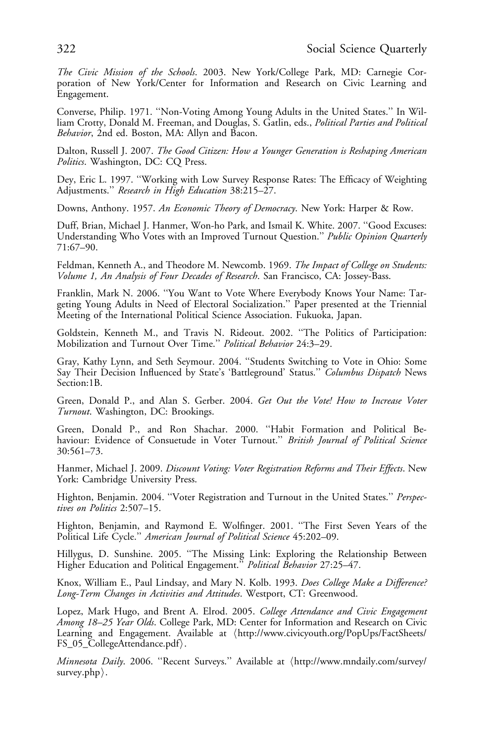The Civic Mission of the Schools. 2003. New York/College Park, MD: Carnegie Corporation of New York/Center for Information and Research on Civic Learning and Engagement.

Converse, Philip. 1971. ''Non-Voting Among Young Adults in the United States.'' In William Crotty, Donald M. Freeman, and Douglas, S. Gatlin, eds., Political Parties and Political Behavior, 2nd ed. Boston, MA: Allyn and Bacon.

Dalton, Russell J. 2007. The Good Citizen: How a Younger Generation is Reshaping American Politics. Washington, DC: CQ Press.

Dey, Eric L. 1997. ''Working with Low Survey Response Rates: The Efficacy of Weighting Adjustments.'' Research in High Education 38:215–27.

Downs, Anthony. 1957. An Economic Theory of Democracy. New York: Harper & Row.

Duff, Brian, Michael J. Hanmer, Won-ho Park, and Ismail K. White. 2007. ''Good Excuses: Understanding Who Votes with an Improved Turnout Question.'' Public Opinion Quarterly 71:67–90.

Feldman, Kenneth A., and Theodore M. Newcomb. 1969. The Impact of College on Students: Volume 1, An Analysis of Four Decades of Research. San Francisco, CA: Jossey-Bass.

Franklin, Mark N. 2006. ''You Want to Vote Where Everybody Knows Your Name: Targeting Young Adults in Need of Electoral Socialization.'' Paper presented at the Triennial Meeting of the International Political Science Association. Fukuoka, Japan.

Goldstein, Kenneth M., and Travis N. Rideout. 2002. ''The Politics of Participation: Mobilization and Turnout Over Time.'' Political Behavior 24:3–29.

Gray, Kathy Lynn, and Seth Seymour. 2004. ''Students Switching to Vote in Ohio: Some Say Their Decision Influenced by State's 'Battleground' Status." Columbus Dispatch News Section:1B.

Green, Donald P., and Alan S. Gerber. 2004. Get Out the Vote! How to Increase Voter Turnout. Washington, DC: Brookings.

Green, Donald P., and Ron Shachar. 2000. ''Habit Formation and Political Behaviour: Evidence of Consuetude in Voter Turnout." British Journal of Political Science 30:561–73.

Hanmer, Michael J. 2009. Discount Voting: Voter Registration Reforms and Their Effects. New York: Cambridge University Press.

Highton, Benjamin. 2004. "Voter Registration and Turnout in the United States." Perspectives on Politics 2:507–15.

Highton, Benjamin, and Raymond E. Wolfinger. 2001. ''The First Seven Years of the Political Life Cycle.'' American Journal of Political Science 45:202–09.

Hillygus, D. Sunshine. 2005. ''The Missing Link: Exploring the Relationship Between Higher Education and Political Engagement." Political Behavior 27:25–47.

Knox, William E., Paul Lindsay, and Mary N. Kolb. 1993. Does College Make a Difference? Long-Term Changes in Activities and Attitudes. Westport, CT: Greenwood.

Lopez, Mark Hugo, and Brent A. Elrod. 2005. College Attendance and Civic Engagement Among 18–25 Year Olds. College Park, MD: Center for Information and Research on Civic Learning and Engagement. Available at  $\langle \text{http://www.civicyouth.org/PopUps/FactSheets/}$  $\langle \text{http://www.civicyouth.org/PopUps/FactSheets/}$  $\langle \text{http://www.civicyouth.org/PopUps/FactSheets/}$  $FS_05_CollegeAttendance.pdf$ [.](http://www.civicyouth.org/PopUps/FactSheets/FS_05_CollegeAttendance.pdf)

Minnesota Daily. 2006. "Recent Surveys." Available at  $\hbox{\rm \{http://www.mndaily.com/survey/\}}$  $\hbox{\rm \{http://www.mndaily.com/survey/\}}$  $\hbox{\rm \{http://www.mndaily.com/survey/\}}$ [survey.php](http://www.mndaily.com/survey/survey.php) $\rangle$ [.](http://www.mndaily.com/survey/survey.php)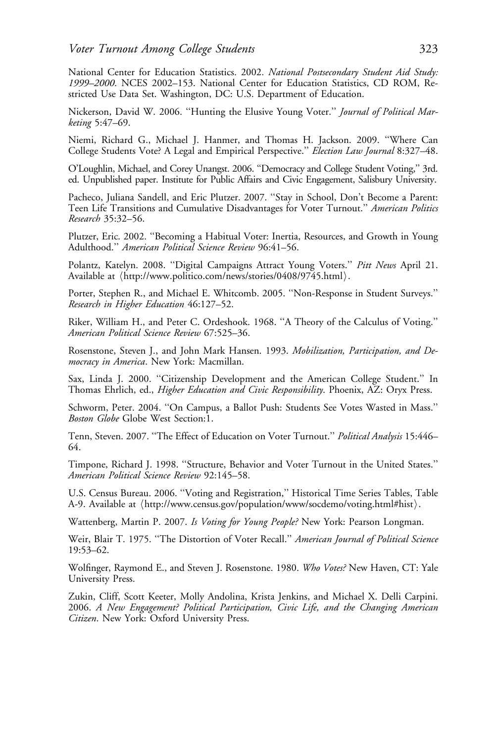National Center for Education Statistics. 2002. National Postsecondary Student Aid Study: 1999–2000. NCES 2002–153. National Center for Education Statistics, CD ROM, Restricted Use Data Set. Washington, DC: U.S. Department of Education.

Nickerson, David W. 2006. "Hunting the Elusive Young Voter." Journal of Political Marketing 5:47–69.

Niemi, Richard G., Michael J. Hanmer, and Thomas H. Jackson. 2009. ''Where Can College Students Vote? A Legal and Empirical Perspective.'' Election Law Journal 8:327–48.

O'Loughlin, Michael, and Corey Unangst. 2006. ''Democracy and College Student Voting,'' 3rd. ed. Unpublished paper. Institute for Public Affairs and Civic Engagement, Salisbury University.

Pacheco, Juliana Sandell, and Eric Plutzer. 2007. ''Stay in School, Don't Become a Parent: Teen Life Transitions and Cumulative Disadvantages for Voter Turnout.'' American Politics Research 35:32–56.

Plutzer, Eric. 2002. ''Becoming a Habitual Voter: Inertia, Resources, and Growth in Young Adulthood.'' American Political Science Review 96:41–56.

Polantz, Katelyn. 2008. ''Digital Campaigns Attract Young Voters.'' Pitt News April 21. Available at  $\langle$ <http://www.politico.com/news/stories/0408/9745.html> $\rangle$ [.](http://www.politico.com/news/stories/0408/9745.html)

Porter, Stephen R., and Michael E. Whitcomb. 2005. ''Non-Response in Student Surveys.'' Research in Higher Education 46:127–52.

Riker, William H., and Peter C. Ordeshook. 1968. ''A Theory of the Calculus of Voting.'' American Political Science Review 67:525–36.

Rosenstone, Steven J., and John Mark Hansen. 1993. Mobilization, Participation, and Democracy in America. New York: Macmillan.

Sax, Linda J. 2000. ''Citizenship Development and the American College Student.'' In Thomas Ehrlich, ed., Higher Education and Civic Responsibility. Phoenix, AZ: Oryx Press.

Schworm, Peter. 2004. ''On Campus, a Ballot Push: Students See Votes Wasted in Mass.'' Boston Globe Globe West Section:1.

Tenn, Steven. 2007. "The Effect of Education on Voter Turnout." *Political Analysis* 15:446– 64.

Timpone, Richard J. 1998. ''Structure, Behavior and Voter Turnout in the United States.'' American Political Science Review 92:145–58.

U.S. Census Bureau. 2006. ''Voting and Registration,'' Historical Time Series Tables, Table A-9[.](http://www.census.gov/population/www/socdemo/voting.html#hist) Available at  $\langle$ <http://www.census.gov/population/www/socdemo/voting.html#hist> $\rangle$ .

Wattenberg, Martin P. 2007. Is Voting for Young People? New York: Pearson Longman.

Weir, Blair T. 1975. "The Distortion of Voter Recall." American Journal of Political Science 19:53–62.

Wolfinger, Raymond E., and Steven J. Rosenstone. 1980. Who Votes? New Haven, CT: Yale University Press.

Zukin, Cliff, Scott Keeter, Molly Andolina, Krista Jenkins, and Michael X. Delli Carpini. 2006. A New Engagement? Political Participation, Civic Life, and the Changing American Citizen. New York: Oxford University Press.